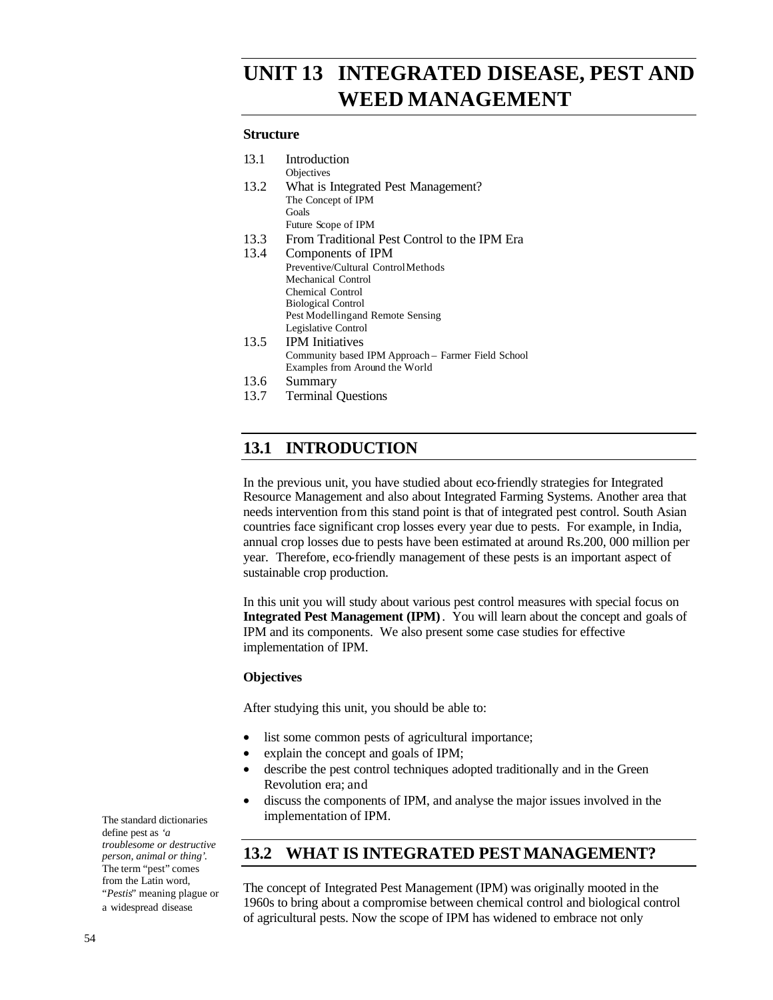# *UNIT 13* **INTEGRATED DISEASE, PEST AND WEED MANAGEMENT**

#### **Structure**

| 13.1 | Introduction                                       |
|------|----------------------------------------------------|
|      | Objectives                                         |
| 13.2 | What is Integrated Pest Management?                |
|      | The Concept of IPM                                 |
|      | Goals                                              |
|      | Future Scope of IPM                                |
| 13.3 | From Traditional Pest Control to the IPM Era       |
| 13.4 | Components of IPM                                  |
|      | Preventive/Cultural ControlMethods                 |
|      | <b>Mechanical Control</b>                          |
|      | <b>Chemical Control</b>                            |
|      | <b>Biological Control</b>                          |
|      | Pest Modelling and Remote Sensing                  |
|      | Legislative Control                                |
| 13.5 | <b>IPM</b> Initiatives                             |
|      | Community based IPM Approach – Farmer Field School |
|      | Examples from Around the World                     |
| 13.6 | Summary                                            |
| 13.7 | <b>Terminal Questions</b>                          |
|      |                                                    |

# **13.1 INTRODUCTION**

In the previous unit, you have studied about eco-friendly strategies for Integrated Resource Management and also about Integrated Farming Systems. Another area that needs intervention from this stand point is that of integrated pest control. South Asian countries face significant crop losses every year due to pests. For example, in India, annual crop losses due to pests have been estimated at around Rs.200, 000 million per year. Therefore, eco-friendly management of these pests is an important aspect of sustainable crop production.

In this unit you will study about various pest control measures with special focus on **Integrated Pest Management (IPM)**. You will learn about the concept and goals of IPM and its components. We also present some case studies for effective implementation of IPM.

#### **Objectives**

After studying this unit, you should be able to:

- list some common pests of agricultural importance;
- explain the concept and goals of IPM;
- describe the pest control techniques adopted traditionally and in the Green Revolution era; and
- discuss the components of IPM, and analyse the major issues involved in the implementation of IPM.

# **13.2 WHAT IS INTEGRATED PEST MANAGEMENT?**

The concept of Integrated Pest Management (IPM) was originally mooted in the 1960s to bring about a compromise between chemical control and biological control of agricultural pests. Now the scope of IPM has widened to embrace not only

The standard dictionaries define pest as *'a troublesome or destructive person, animal or thing'*. The term "pest" comes from the Latin word, "*Pestis*" meaning plague or a widespread disease.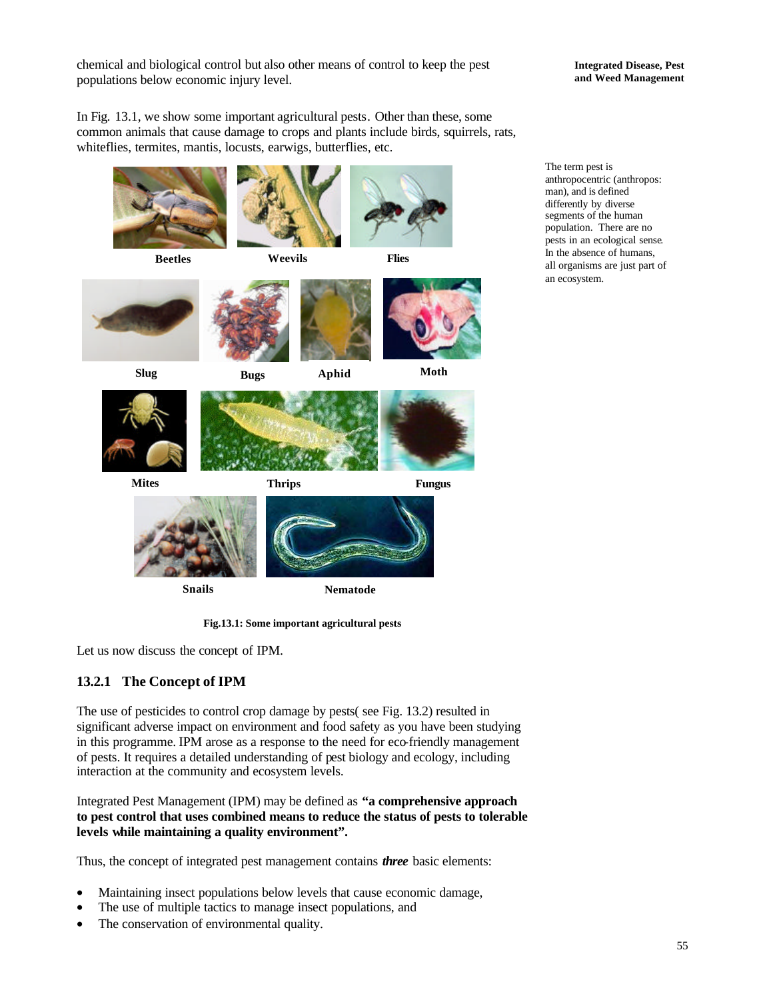chemical and biological control but also other means of control to keep the pest populations below economic injury level.

**Integrated Disease, Pest and Weed Management**

In Fig. 13.1, we show some important agricultural pests. Other than these, some common animals that cause damage to crops and plants include birds, squirrels, rats, whiteflies, termites, mantis, locusts, earwigs, butterflies, etc.



**Fig.13.1: Some important agricultural pests**

Let us now discuss the concept of IPM.

# **13.2.1 The Concept of IPM**

The use of pesticides to control crop damage by pests( see Fig. 13.2) resulted in significant adverse impact on environment and food safety as you have been studying in this programme. IPM arose as a response to the need for eco-friendly management of pests. It requires a detailed understanding of pest biology and ecology, including interaction at the community and ecosystem levels.

Integrated Pest Management (IPM) may be defined as **"a comprehensive approach to pest control that uses combined means to reduce the status of pests to tolerable levels while maintaining a quality environment".**

Thus, the concept of integrated pest management contains *three* basic elements:

- Maintaining insect populations below levels that cause economic damage,
- The use of multiple tactics to manage insect populations, and
- The conservation of environmental quality.

The term pest is anthropocentric (anthropos: man), and is defined differently by diverse segments of the human population. There are no pests in an ecological sense. In the absence of humans, all organisms are just part of an ecosystem.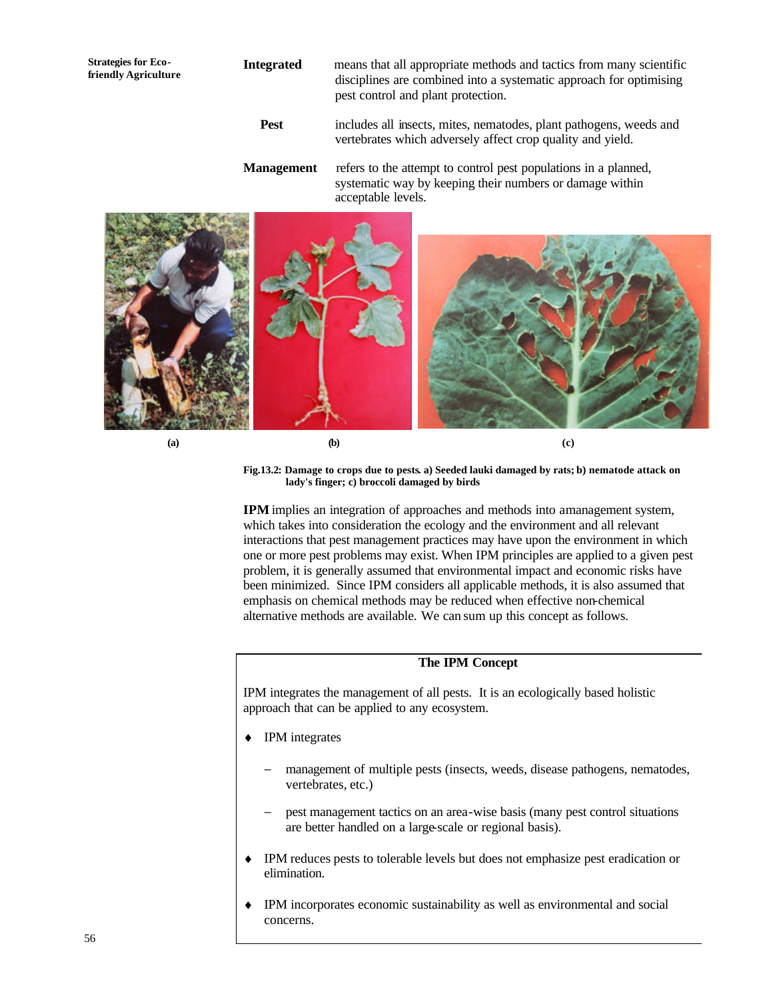# **Integrated** means that all appropriate methods and tactics from many scientific disciplines are combined into a systematic approach for optimising pest control and plant protection.

- **Pest** includes all insects, mites, nematodes, plant pathogens, weeds and vertebrates which adversely affect crop quality and yield.
- **Management** refers to the attempt to control pest populations in a planned, systematic way by keeping their numbers or damage within acceptable levels.



**Strategies for Ecofriendly Agriculture**

> **Fig.13.2: Damage to crops due to pests. a) Seeded lauki damaged by rats; b) nematode attack on lady's finger; c) broccoli damaged by birds**

**IPM** implies an integration of approaches and methods into a management system, which takes into consideration the ecology and the environment and all relevant interactions that pest management practices may have upon the environment in which one or more pest problems may exist. When IPM principles are applied to a given pest problem, it is generally assumed that environmental impact and economic risks have been minimized. Since IPM considers all applicable methods, it is also assumed that emphasis on chemical methods may be reduced when effective non-chemical alternative methods are available. We can sum up this concept as follows.

## **The IPM Concept**

IPM integrates the management of all pests. It is an ecologically based holistic approach that can be applied to any ecosystem.

- **IPM** integrates
	- management of multiple pests (insects, weeds, disease pathogens, nematodes, vertebrates, etc.)
	- pest management tactics on an area-wise basis (many pest control situations are better handled on a large-scale or regional basis).
- ♦ IPM reduces pests to tolerable levels but does not emphasize pest eradication or elimination.
- IPM incorporates economic sustainability as well as environmental and social concerns.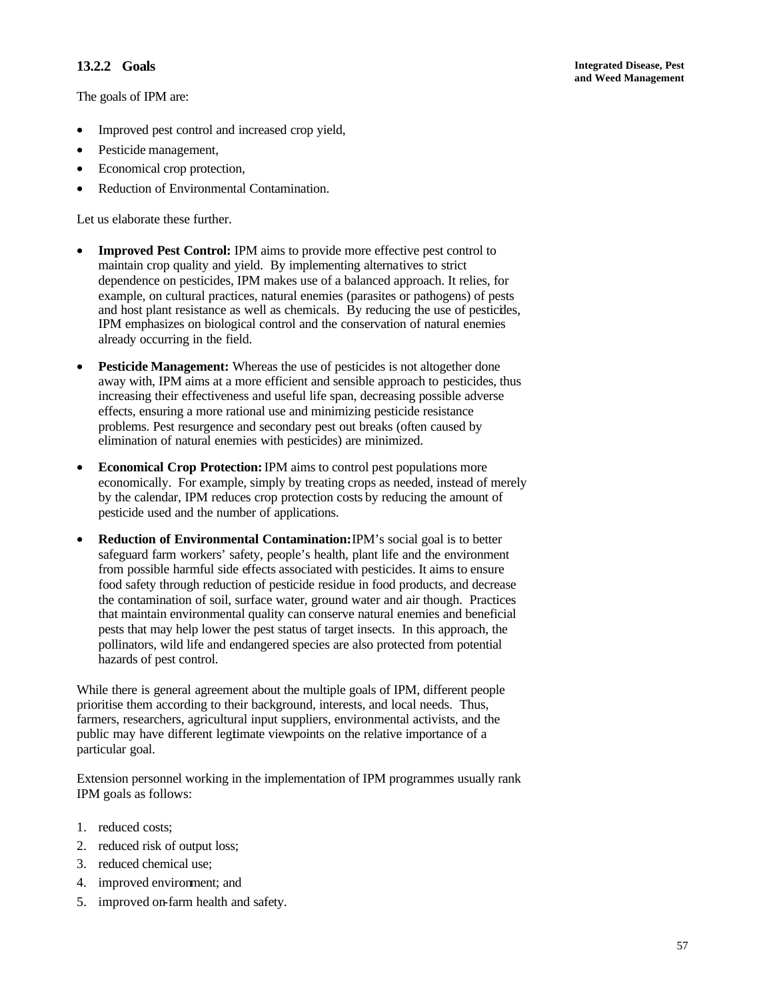## **13.2.2 Goals**

The goals of IPM are:

- Improved pest control and increased crop yield,
- Pesticide management,
- Economical crop protection,
- Reduction of Environmental Contamination.

Let us elaborate these further.

- **Improved Pest Control:** IPM aims to provide more effective pest control to maintain crop quality and yield. By implementing alternatives to strict dependence on pesticides, IPM makes use of a balanced approach. It relies, for example, on cultural practices, natural enemies (parasites or pathogens) of pests and host plant resistance as well as chemicals. By reducing the use of pesticides, IPM emphasizes on biological control and the conservation of natural enemies already occurring in the field.
- **Pesticide Management:** Whereas the use of pesticides is not altogether done away with, IPM aims at a more efficient and sensible approach to pesticides, thus increasing their effectiveness and useful life span, decreasing possible adverse effects, ensuring a more rational use and minimizing pesticide resistance problems. Pest resurgence and secondary pest out breaks (often caused by elimination of natural enemies with pesticides) are minimized.
- **Economical Crop Protection:** IPM aims to control pest populations more economically. For example, simply by treating crops as needed, instead of merely by the calendar, IPM reduces crop protection costs by reducing the amount of pesticide used and the number of applications.
- **Reduction of Environmental Contamination:** IPM's social goal is to better safeguard farm workers' safety, people's health, plant life and the environment from possible harmful side effects associated with pesticides. It aims to ensure food safety through reduction of pesticide residue in food products, and decrease the contamination of soil, surface water, ground water and air though. Practices that maintain environmental quality can conserve natural enemies and beneficial pests that may help lower the pest status of target insects. In this approach, the pollinators, wild life and endangered species are also protected from potential hazards of pest control.

While there is general agreement about the multiple goals of IPM, different people prioritise them according to their background, interests, and local needs. Thus, farmers, researchers, agricultural input suppliers, environmental activists, and the public may have different legitmate viewpoints on the relative importance of a particular goal.

Extension personnel working in the implementation of IPM programmes usually rank IPM goals as follows:

- 1. reduced costs;
- 2. reduced risk of output loss;
- 3. reduced chemical use;
- 4. improved environment; and
- 5. improved on-farm health and safety.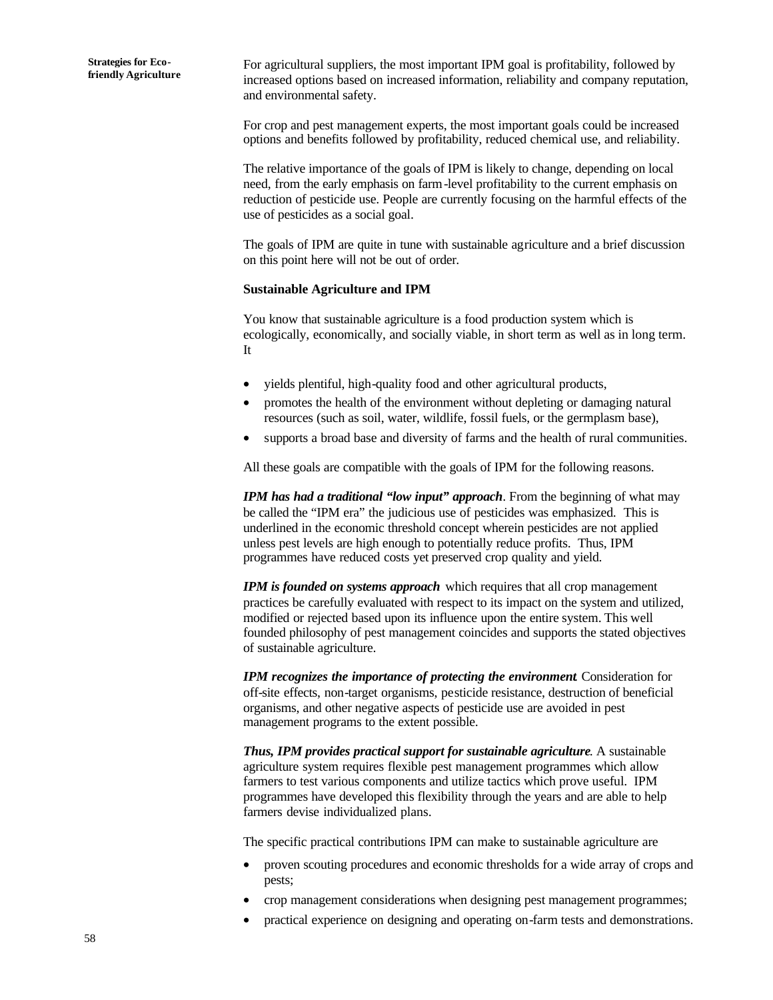For agricultural suppliers, the most important IPM goal is profitability, followed by increased options based on increased information, reliability and company reputation, and environmental safety.

For crop and pest management experts, the most important goals could be increased options and benefits followed by profitability, reduced chemical use, and reliability.

The relative importance of the goals of IPM is likely to change, depending on local need, from the early emphasis on farm-level profitability to the current emphasis on reduction of pesticide use. People are currently focusing on the harmful effects of the use of pesticides as a social goal.

The goals of IPM are quite in tune with sustainable agriculture and a brief discussion on this point here will not be out of order.

#### **Sustainable Agriculture and IPM**

You know that sustainable agriculture is a food production system which is ecologically, economically, and socially viable, in short term as well as in long term. It

- yields plentiful, high-quality food and other agricultural products,
- promotes the health of the environment without depleting or damaging natural resources (such as soil, water, wildlife, fossil fuels, or the germplasm base),
- supports a broad base and diversity of farms and the health of rural communities.

All these goals are compatible with the goals of IPM for the following reasons.

*IPM has had a traditional "low input" approach*. From the beginning of what may be called the "IPM era" the judicious use of pesticides was emphasized. This is underlined in the economic threshold concept wherein pesticides are not applied unless pest levels are high enough to potentially reduce profits. Thus, IPM programmes have reduced costs yet preserved crop quality and yield.

*IPM is founded on systems approach* which requires that all crop management practices be carefully evaluated with respect to its impact on the system and utilized, modified or rejected based upon its influence upon the entire system. This well founded philosophy of pest management coincides and supports the stated objectives of sustainable agriculture.

*IPM recognizes the importance of protecting the environment*. Consideration for off-site effects, non-target organisms, pesticide resistance, destruction of beneficial organisms, and other negative aspects of pesticide use are avoided in pest management programs to the extent possible.

*Thus, IPM provides practical support for sustainable agriculture*. A sustainable agriculture system requires flexible pest management programmes which allow farmers to test various components and utilize tactics which prove useful. IPM programmes have developed this flexibility through the years and are able to help farmers devise individualized plans.

The specific practical contributions IPM can make to sustainable agriculture are

- proven scouting procedures and economic thresholds for a wide array of crops and pests;
- crop management considerations when designing pest management programmes;
- practical experience on designing and operating on-farm tests and demonstrations.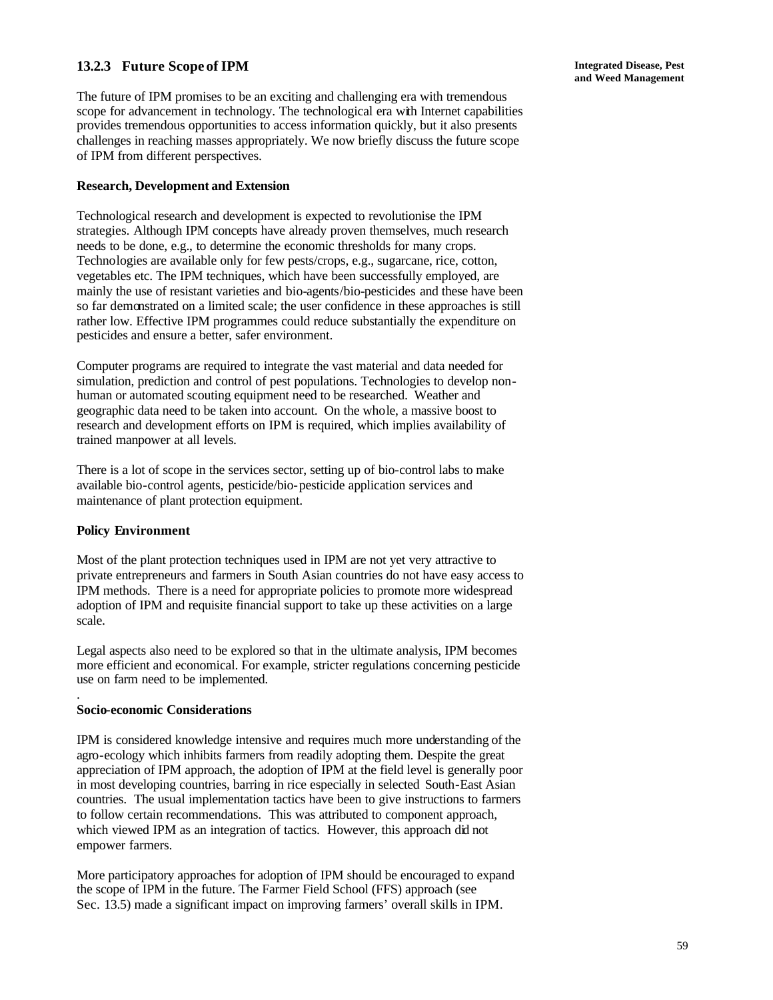## **13.2.3 Future Scope of IPM**

The future of IPM promises to be an exciting and challenging era with tremendous scope for advancement in technology. The technological era with Internet capabilities provides tremendous opportunities to access information quickly, but it also presents challenges in reaching masses appropriately. We now briefly discuss the future scope of IPM from different perspectives.

#### **Research, Development and Extension**

Technological research and development is expected to revolutionise the IPM strategies. Although IPM concepts have already proven themselves, much research needs to be done, e.g., to determine the economic thresholds for many crops. Technologies are available only for few pests/crops, e.g., sugarcane, rice, cotton, vegetables etc. The IPM techniques, which have been successfully employed, are mainly the use of resistant varieties and bio-agents/bio-pesticides and these have been so far demonstrated on a limited scale; the user confidence in these approaches is still rather low. Effective IPM programmes could reduce substantially the expenditure on pesticides and ensure a better, safer environment.

Computer programs are required to integrate the vast material and data needed for simulation, prediction and control of pest populations. Technologies to develop nonhuman or automated scouting equipment need to be researched. Weather and geographic data need to be taken into account. On the whole, a massive boost to research and development efforts on IPM is required, which implies availability of trained manpower at all levels.

There is a lot of scope in the services sector, setting up of bio-control labs to make available bio-control agents, pesticide/bio-pesticide application services and maintenance of plant protection equipment.

#### **Policy Environment**

.

Most of the plant protection techniques used in IPM are not yet very attractive to private entrepreneurs and farmers in South Asian countries do not have easy access to IPM methods. There is a need for appropriate policies to promote more widespread adoption of IPM and requisite financial support to take up these activities on a large scale.

Legal aspects also need to be explored so that in the ultimate analysis, IPM becomes more efficient and economical. For example, stricter regulations concerning pesticide use on farm need to be implemented.

#### **Socio-economic Considerations**

IPM is considered knowledge intensive and requires much more understanding of the agro-ecology which inhibits farmers from readily adopting them. Despite the great appreciation of IPM approach, the adoption of IPM at the field level is generally poor in most developing countries, barring in rice especially in selected South-East Asian countries. The usual implementation tactics have been to give instructions to farmers to follow certain recommendations. This was attributed to component approach, which viewed IPM as an integration of tactics. However, this approach did not empower farmers.

More participatory approaches for adoption of IPM should be encouraged to expand the scope of IPM in the future. The Farmer Field School (FFS) approach (see Sec. 13.5) made a significant impact on improving farmers' overall skills in IPM.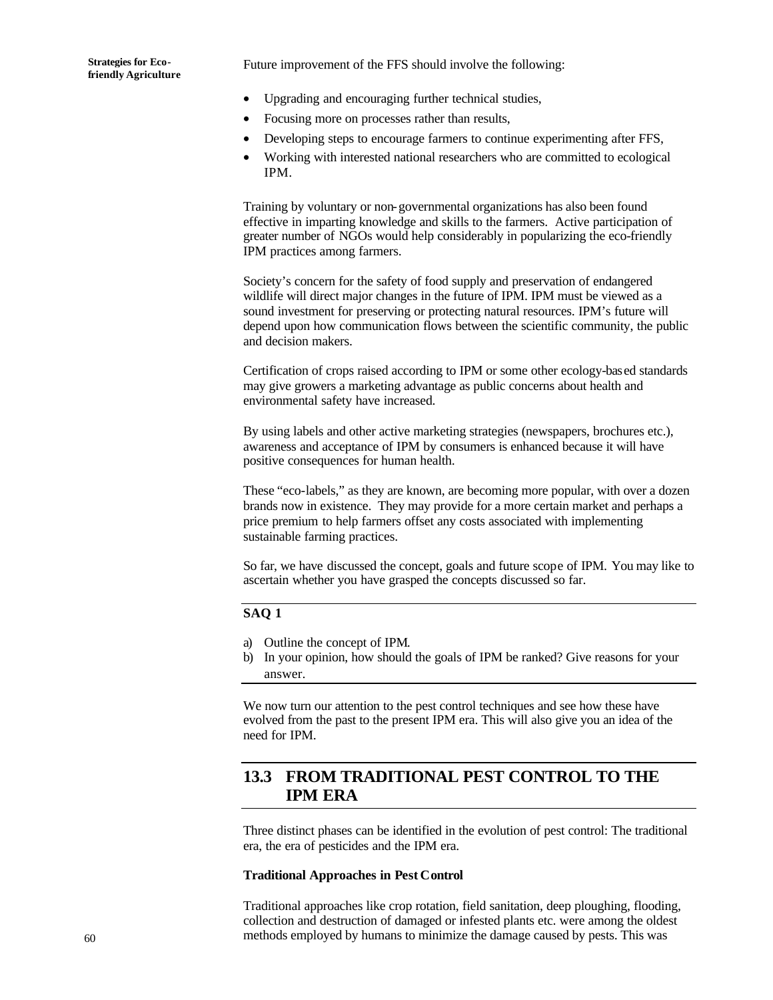Future improvement of the FFS should involve the following:

- Upgrading and encouraging further technical studies,
- Focusing more on processes rather than results,
- Developing steps to encourage farmers to continue experimenting after FFS,
- Working with interested national researchers who are committed to ecological IPM.

Training by voluntary or non-governmental organizations has also been found effective in imparting knowledge and skills to the farmers. Active participation of greater number of NGOs would help considerably in popularizing the eco-friendly IPM practices among farmers.

Society's concern for the safety of food supply and preservation of endangered wildlife will direct major changes in the future of IPM. IPM must be viewed as a sound investment for preserving or protecting natural resources. IPM's future will depend upon how communication flows between the scientific community, the public and decision makers.

Certification of crops raised according to IPM or some other ecology-based standards may give growers a marketing advantage as public concerns about health and environmental safety have increased.

By using labels and other active marketing strategies (newspapers, brochures etc.), awareness and acceptance of IPM by consumers is enhanced because it will have positive consequences for human health.

These "eco-labels," as they are known, are becoming more popular, with over a dozen brands now in existence. They may provide for a more certain market and perhaps a price premium to help farmers offset any costs associated with implementing sustainable farming practices.

So far, we have discussed the concept, goals and future scope of IPM. You may like to ascertain whether you have grasped the concepts discussed so far.

#### **SAQ 1**

- a) Outline the concept of IPM.
- b) In your opinion, how should the goals of IPM be ranked? Give reasons for your answer.

We now turn our attention to the pest control techniques and see how these have evolved from the past to the present IPM era. This will also give you an idea of the need for IPM.

# **13.3 FROM TRADITIONAL PEST CONTROL TO THE IPM ERA**

Three distinct phases can be identified in the evolution of pest control: The traditional era, the era of pesticides and the IPM era.

#### **Traditional Approaches in Pest Control**

Traditional approaches like crop rotation, field sanitation, deep ploughing, flooding, collection and destruction of damaged or infested plants etc. were among the oldest methods employed by humans to minimize the damage caused by pests. This was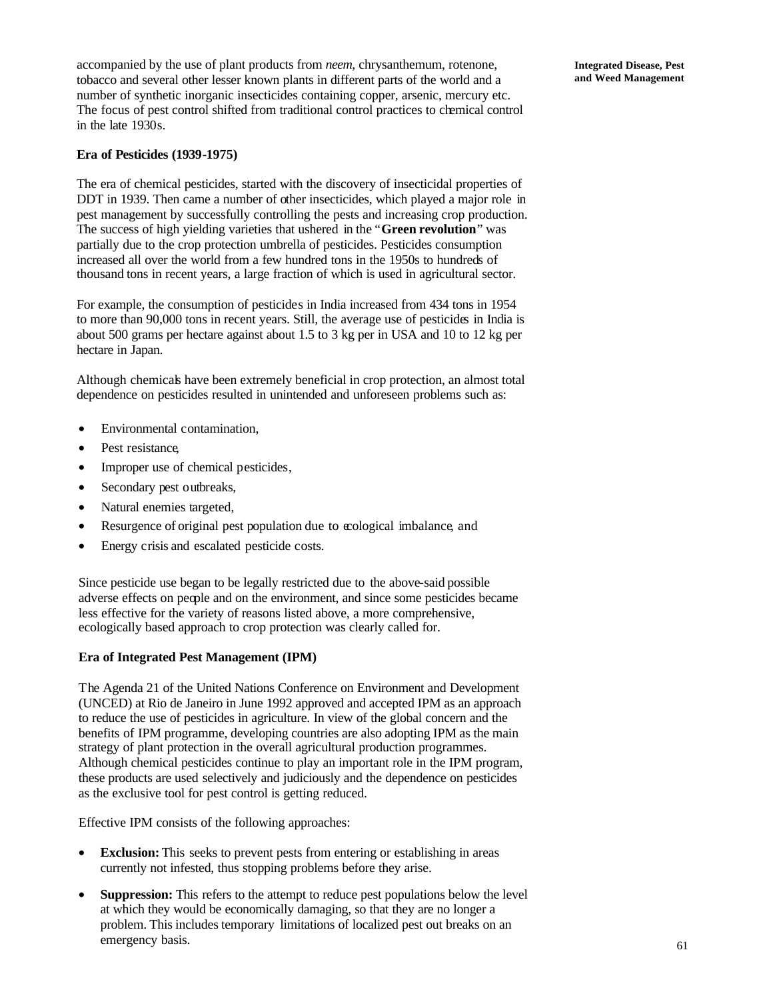accompanied by the use of plant products from *neem*, chrysanthemum, rotenone, tobacco and several other lesser known plants in different parts of the world and a number of synthetic inorganic insecticides containing copper, arsenic, mercury etc. The focus of pest control shifted from traditional control practices to chemical control in the late 1930s.

#### **Era of Pesticides (1939-1975)**

The era of chemical pesticides, started with the discovery of insecticidal properties of DDT in 1939. Then came a number of other insecticides, which played a major role in pest management by successfully controlling the pests and increasing crop production. The success of high yielding varieties that ushered in the "**Green revolution**" was partially due to the crop protection umbrella of pesticides. Pesticides consumption increased all over the world from a few hundred tons in the 1950s to hundreds of thousand tons in recent years, a large fraction of which is used in agricultural sector.

For example, the consumption of pesticides in India increased from 434 tons in 1954 to more than 90,000 tons in recent years. Still, the average use of pesticides in India is about 500 grams per hectare against about 1.5 to 3 kg per in USA and 10 to 12 kg per hectare in Japan.

Although chemicals have been extremely beneficial in crop protection, an almost total dependence on pesticides resulted in unintended and unforeseen problems such as:

- Environmental contamination,
- Pest resistance,
- Improper use of chemical pesticides,
- Secondary pest outbreaks,
- Natural enemies targeted,
- Resurgence of original pest population due to cological imbalance, and
- Energy crisis and escalated pesticide costs.

Since pesticide use began to be legally restricted due to the above-said possible adverse effects on people and on the environment, and since some pesticides became less effective for the variety of reasons listed above, a more comprehensive, ecologically based approach to crop protection was clearly called for.

#### **Era of Integrated Pest Management (IPM)**

The Agenda 21 of the United Nations Conference on Environment and Development (UNCED) at Rio de Janeiro in June 1992 approved and accepted IPM as an approach to reduce the use of pesticides in agriculture. In view of the global concern and the benefits of IPM programme, developing countries are also adopting IPM as the main strategy of plant protection in the overall agricultural production programmes. Although chemical pesticides continue to play an important role in the IPM program, these products are used selectively and judiciously and the dependence on pesticides as the exclusive tool for pest control is getting reduced.

Effective IPM consists of the following approaches:

- **Exclusion:** This seeks to prevent pests from entering or establishing in areas currently not infested, thus stopping problems before they arise.
- **Suppression:** This refers to the attempt to reduce pest populations below the level at which they would be economically damaging, so that they are no longer a problem. This includes temporary limitations of localized pest out breaks on an emergency basis.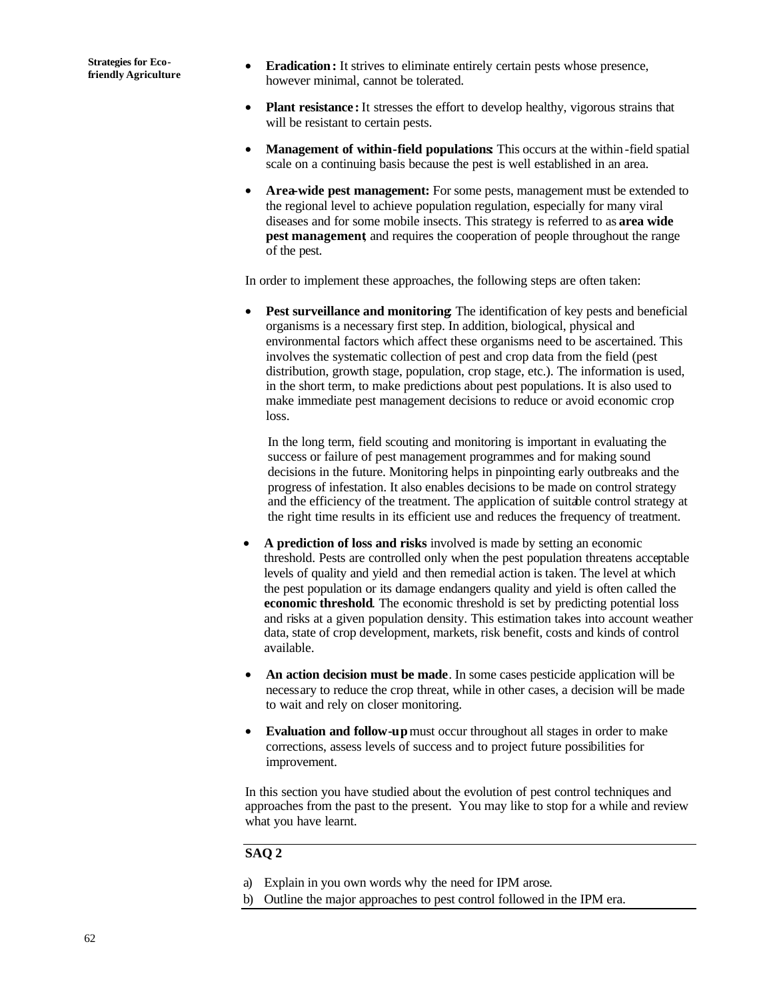- **Eradication:** It strives to eliminate entirely certain pests whose presence, however minimal, cannot be tolerated.
- **Plant resistance** : It stresses the effort to develop healthy, vigorous strains that will be resistant to certain pests.
- **Management of within-field populations:** This occurs at the within-field spatial scale on a continuing basis because the pest is well established in an area.
- **Area-wide pest management:** For some pests, management must be extended to the regional level to achieve population regulation, especially for many viral diseases and for some mobile insects. This strategy is referred to as **area wide pest management**, and requires the cooperation of people throughout the range of the pest.

In order to implement these approaches, the following steps are often taken:

Pest surveillance and monitoring The identification of key pests and beneficial organisms is a necessary first step. In addition, biological, physical and environmental factors which affect these organisms need to be ascertained. This involves the systematic collection of pest and crop data from the field (pest distribution, growth stage, population, crop stage, etc.). The information is used, in the short term, to make predictions about pest populations. It is also used to make immediate pest management decisions to reduce or avoid economic crop loss.

In the long term, field scouting and monitoring is important in evaluating the success or failure of pest management programmes and for making sound decisions in the future. Monitoring helps in pinpointing early outbreaks and the progress of infestation. It also enables decisions to be made on control strategy and the efficiency of the treatment. The application of suitable control strategy at the right time results in its efficient use and reduces the frequency of treatment.

- **A prediction of loss and risks** involved is made by setting an economic threshold. Pests are controlled only when the pest population threatens acceptable levels of quality and yield and then remedial action is taken. The level at which the pest population or its damage endangers quality and yield is often called the **economic threshold**. The economic threshold is set by predicting potential loss and risks at a given population density. This estimation takes into account weather data, state of crop development, markets, risk benefit, costs and kinds of control available.
- An action decision must be made. In some cases pesticide application will be necessary to reduce the crop threat, while in other cases, a decision will be made to wait and rely on closer monitoring.
- **Evaluation and follow-up** must occur throughout all stages in order to make corrections, assess levels of success and to project future possibilities for improvement.

In this section you have studied about the evolution of pest control techniques and approaches from the past to the present. You may like to stop for a while and review what you have learnt.

#### **SAQ 2**

- a) Explain in you own words why the need for IPM arose.
- b) Outline the major approaches to pest control followed in the IPM era.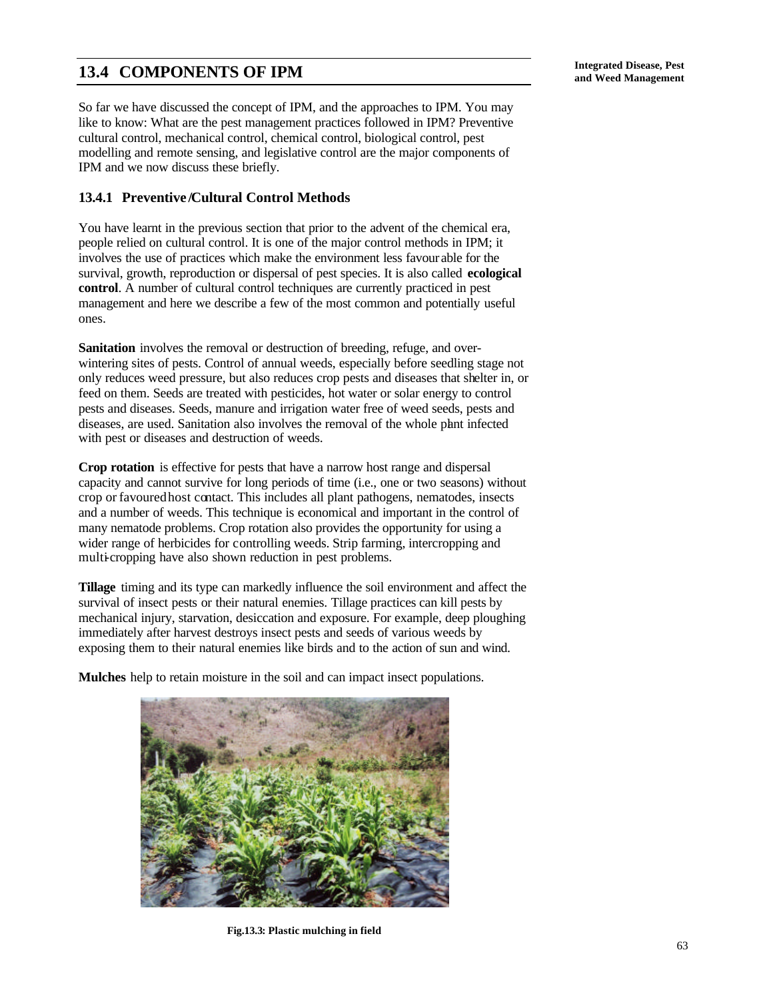# **Integrated Disease, Pest 13.4 COMPONENTS OF IPM and Weed Management**

So far we have discussed the concept of IPM, and the approaches to IPM. You may like to know: What are the pest management practices followed in IPM? Preventive cultural control, mechanical control, chemical control, biological control, pest modelling and remote sensing, and legislative control are the major components of IPM and we now discuss these briefly.

## **13.4.1 Preventive /Cultural Control Methods**

You have learnt in the previous section that prior to the advent of the chemical era, people relied on cultural control. It is one of the major control methods in IPM; it involves the use of practices which make the environment less favour able for the survival, growth, reproduction or dispersal of pest species. It is also called **ecological control**. A number of cultural control techniques are currently practiced in pest management and here we describe a few of the most common and potentially useful ones.

**Sanitation** involves the removal or destruction of breeding, refuge, and overwintering sites of pests. Control of annual weeds, especially before seedling stage not only reduces weed pressure, but also reduces crop pests and diseases that shelter in, or feed on them. Seeds are treated with pesticides, hot water or solar energy to control pests and diseases. Seeds, manure and irrigation water free of weed seeds, pests and diseases, are used. Sanitation also involves the removal of the whole plant infected with pest or diseases and destruction of weeds.

**Crop rotation** is effective for pests that have a narrow host range and dispersal capacity and cannot survive for long periods of time (i.e., one or two seasons) without crop or favoured host contact. This includes all plant pathogens, nematodes, insects and a number of weeds. This technique is economical and important in the control of many nematode problems. Crop rotation also provides the opportunity for using a wider range of herbicides for controlling weeds. Strip farming, intercropping and multi-cropping have also shown reduction in pest problems.

**Tillage** timing and its type can markedly influence the soil environment and affect the survival of insect pests or their natural enemies. Tillage practices can kill pests by mechanical injury, starvation, desiccation and exposure. For example, deep ploughing immediately after harvest destroys insect pests and seeds of various weeds by exposing them to their natural enemies like birds and to the action of sun and wind.

**Mulches** help to retain moisture in the soil and can impact insect populations.



**Fig.13.3: Plastic mulching in field**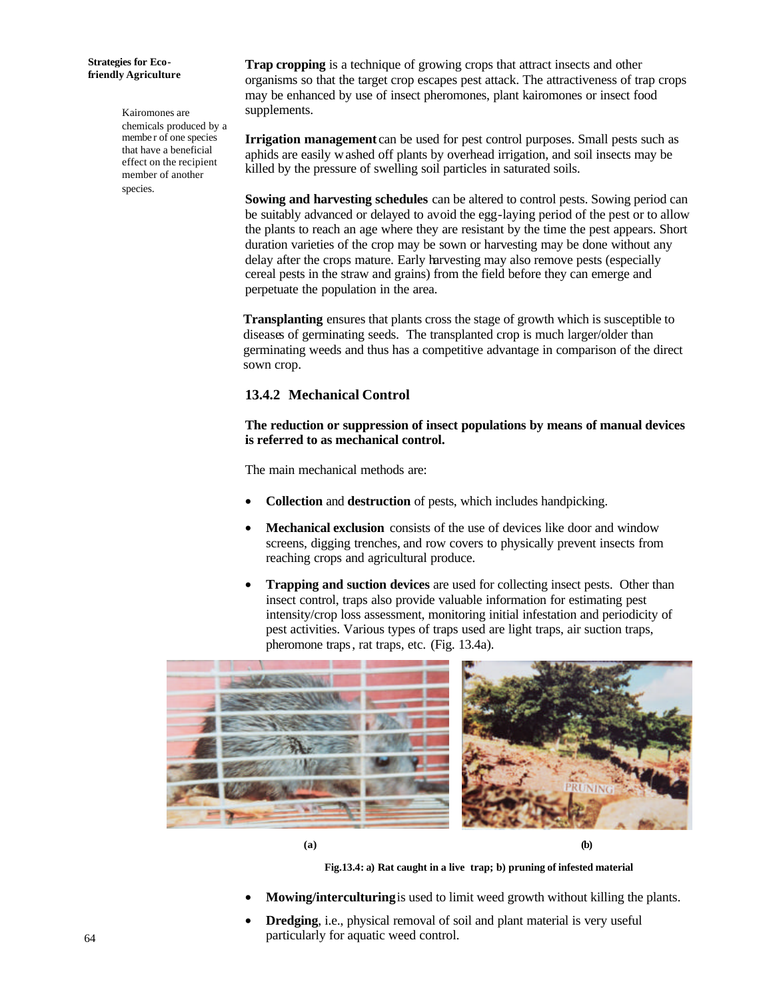#### **Strategies for Ecofriendly Agriculture**

Kairomones are chemicals produced by a membe r of one species that have a beneficial effect on the recipient member of another species.

**Trap cropping** is a technique of growing crops that attract insects and other organisms so that the target crop escapes pest attack. The attractiveness of trap crops may be enhanced by use of insect pheromones, plant kairomones or insect food supplements.

**Irrigation management** can be used for pest control purposes. Small pests such as aphids are easily washed off plants by overhead irrigation, and soil insects may be killed by the pressure of swelling soil particles in saturated soils.

**Sowing and harvesting schedules** can be altered to control pests. Sowing period can be suitably advanced or delayed to avoid the egg-laying period of the pest or to allow the plants to reach an age where they are resistant by the time the pest appears. Short duration varieties of the crop may be sown or harvesting may be done without any delay after the crops mature. Early harvesting may also remove pests (especially cereal pests in the straw and grains) from the field before they can emerge and perpetuate the population in the area.

**Transplanting** ensures that plants cross the stage of growth which is susceptible to diseases of germinating seeds. The transplanted crop is much larger/older than germinating weeds and thus has a competitive advantage in comparison of the direct sown crop.

## **13.4.2 Mechanical Control**

**The reduction or suppression of insect populations by means of manual devices is referred to as mechanical control.**

The main mechanical methods are:

- **Collection** and **destruction** of pests, which includes handpicking.
- **Mechanical exclusion** consists of the use of devices like door and window screens, digging trenches, and row covers to physically prevent insects from reaching crops and agricultural produce.
- **Trapping and suction devices** are used for collecting insect pests. Other than insect control, traps also provide valuable information for estimating pest intensity/crop loss assessment, monitoring initial infestation and periodicity of pest activities. Various types of traps used are light traps, air suction traps, pheromone traps, rat traps, etc. (Fig. 13.4a).



 **(a) (b)**

**Fig.13.4: a) Rat caught in a live trap; b) pruning of infested material**

- **Mowing/interculturing** is used to limit weed growth without killing the plants.
- **Dredging**, i.e., physical removal of soil and plant material is very useful particularly for aquatic weed control.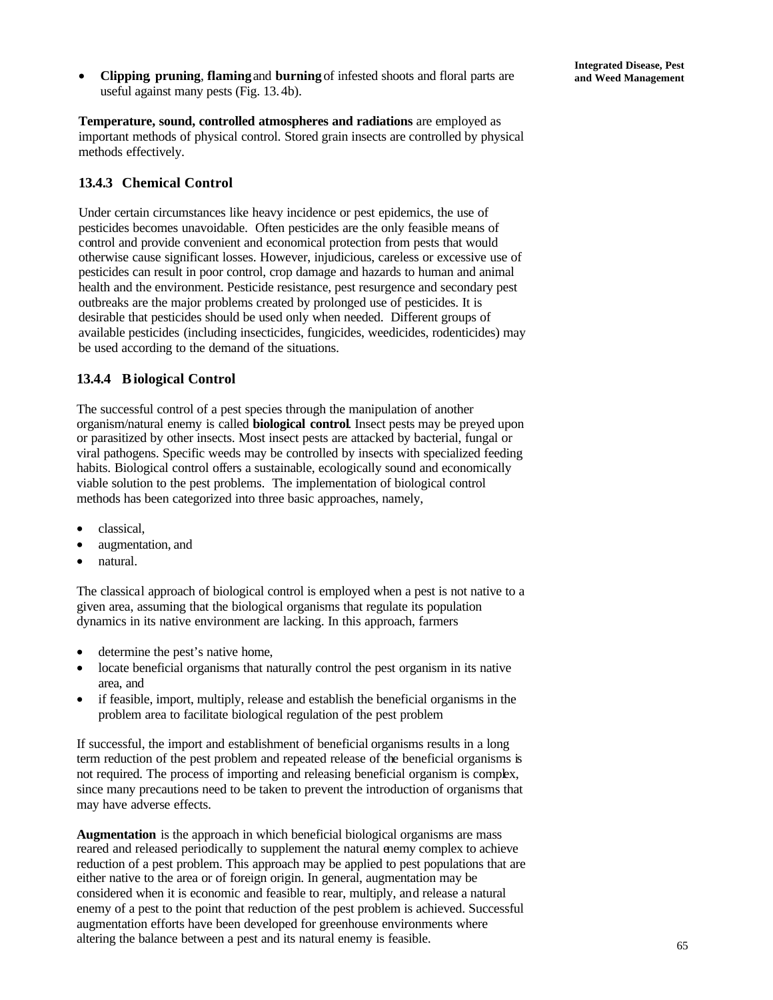• **Clipping**, **pruning**, **flaming** and **burning** of infested shoots and floral parts are **and Weed Management** useful against many pests (Fig. 13. 4b).

**Temperature, sound, controlled atmospheres and radiations** are employed as important methods of physical control. Stored grain insects are controlled by physical methods effectively.

### **13.4.3 Chemical Control**

Under certain circumstances like heavy incidence or pest epidemics, the use of pesticides becomes unavoidable. Often pesticides are the only feasible means of control and provide convenient and economical protection from pests that would otherwise cause significant losses. However, injudicious, careless or excessive use of pesticides can result in poor control, crop damage and hazards to human and animal health and the environment. Pesticide resistance, pest resurgence and secondary pest outbreaks are the major problems created by prolonged use of pesticides. It is desirable that pesticides should be used only when needed. Different groups of available pesticides (including insecticides, fungicides, weedicides, rodenticides) may be used according to the demand of the situations.

### **13.4.4 Biological Control**

The successful control of a pest species through the manipulation of another organism/natural enemy is called **biological control**. Insect pests may be preyed upon or parasitized by other insects. Most insect pests are attacked by bacterial, fungal or viral pathogens. Specific weeds may be controlled by insects with specialized feeding habits. Biological control offers a sustainable, ecologically sound and economically viable solution to the pest problems. The implementation of biological control methods has been categorized into three basic approaches, namely,

- classical,
- augmentation, and
- natural.

The classical approach of biological control is employed when a pest is not native to a given area, assuming that the biological organisms that regulate its population dynamics in its native environment are lacking. In this approach, farmers

- determine the pest's native home,
- locate beneficial organisms that naturally control the pest organism in its native area, and
- if feasible, import, multiply, release and establish the beneficial organisms in the problem area to facilitate biological regulation of the pest problem

If successful, the import and establishment of beneficial organisms results in a long term reduction of the pest problem and repeated release of the beneficial organisms is not required. The process of importing and releasing beneficial organism is complex, since many precautions need to be taken to prevent the introduction of organisms that may have adverse effects.

**Augmentation** is the approach in which beneficial biological organisms are mass reared and released periodically to supplement the natural enemy complex to achieve reduction of a pest problem. This approach may be applied to pest populations that are either native to the area or of foreign origin. In general, augmentation may be considered when it is economic and feasible to rear, multiply, and release a natural enemy of a pest to the point that reduction of the pest problem is achieved. Successful augmentation efforts have been developed for greenhouse environments where altering the balance between a pest and its natural enemy is feasible.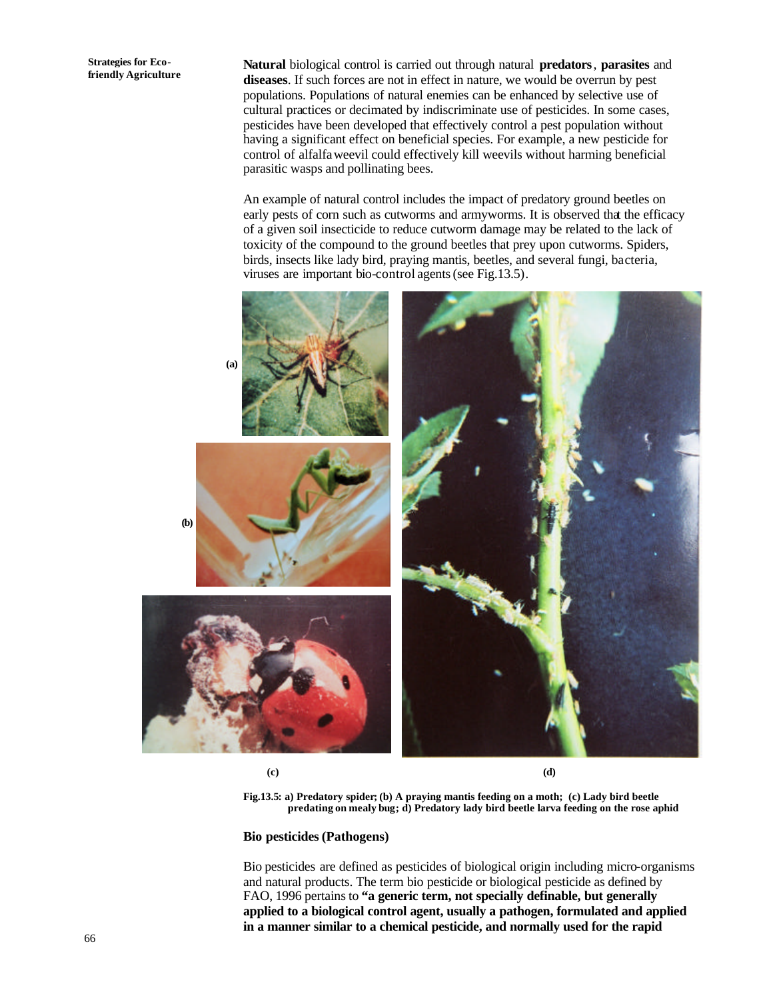**Strategies for Ecofriendly Agriculture**

**Natural** biological control is carried out through natural **predators**, **parasites** and **diseases**. If such forces are not in effect in nature, we would be overrun by pest populations. Populations of natural enemies can be enhanced by selective use of cultural practices or decimated by indiscriminate use of pesticides. In some cases, pesticides have been developed that effectively control a pest population without having a significant effect on beneficial species. For example, a new pesticide for control of alfalfa weevil could effectively kill weevils without harming beneficial parasitic wasps and pollinating bees.

An example of natural control includes the impact of predatory ground beetles on early pests of corn such as cutworms and armyworms. It is observed that the efficacy of a given soil insecticide to reduce cutworm damage may be related to the lack of toxicity of the compound to the ground beetles that prey upon cutworms. Spiders, birds, insects like lady bird, praying mantis, beetles, and several fungi, bacteria, viruses are important bio-control agents (see Fig.13.5).



 **(c) (d)** 

**Fig.13.5: a) Predatory spider; (b) A praying mantis feeding on a moth; (c) Lady bird beetle predating on mealy bug; d) Predatory lady bird beetle larva feeding on the rose aphid**

#### **Bio pesticides (Pathogens)**

Bio pesticides are defined as pesticides of biological origin including micro-organisms and natural products. The term bio pesticide or biological pesticide as defined by FAO, 1996 pertains to **"a generic term, not specially definable, but generally applied to a biological control agent, usually a pathogen, formulated and applied in a manner similar to a chemical pesticide, and normally used for the rapid**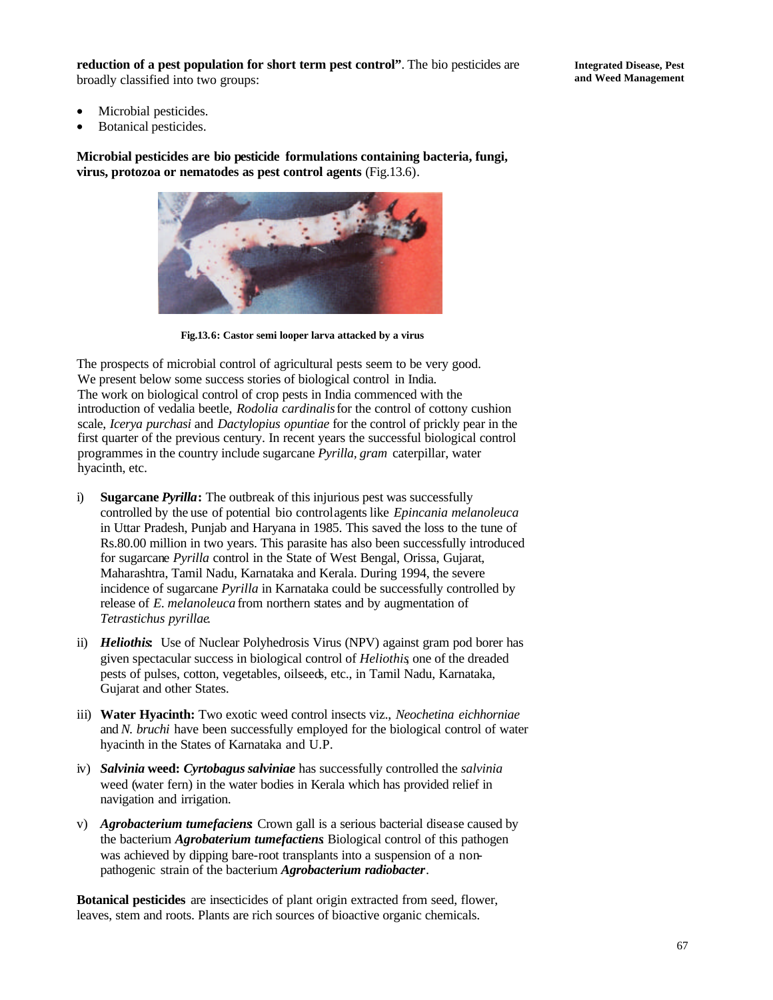**reduction of a pest population for short term pest control"**. The bio pesticides are broadly classified into two groups:

- Microbial pesticides.
- Botanical pesticides.

**Microbial pesticides are bio pesticide formulations containing bacteria, fungi, virus, protozoa or nematodes as pest control agents** (Fig.13.6).



**Fig.13.6: Castor semi looper larva attacked by a virus**

The prospects of microbial control of agricultural pests seem to be very good. We present below some success stories of biological control in India. The work on biological control of crop pests in India commenced with the introduction of vedalia beetle, *Rodolia cardinalis* for the control of cottony cushion scale, *Icerya purchasi* and *Dactylopius opuntiae* for the control of prickly pear in the first quarter of the previous century. In recent years the successful biological control programmes in the country include sugarcane *Pyrilla, gram* caterpillar, water hyacinth, etc.

- i) **Sugarcane** *Pyrilla***:** The outbreak of this injurious pest was successfully controlled by the use of potential bio control agents like *Epincania melanoleuca* in Uttar Pradesh, Punjab and Haryana in 1985. This saved the loss to the tune of Rs.80.00 million in two years. This parasite has also been successfully introduced for sugarcane *Pyrilla* control in the State of West Bengal, Orissa, Gujarat, Maharashtra, Tamil Nadu, Karnataka and Kerala. During 1994, the severe incidence of sugarcane *Pyrilla* in Karnataka could be successfully controlled by release of *E. melanoleuca* from northern states and by augmentation of *Tetrastichus pyrillae*.
- ii) *Heliothis***:** Use of Nuclear Polyhedrosis Virus (NPV) against gram pod borer has given spectacular success in biological control of *Heliothis*, one of the dreaded pests of pulses, cotton, vegetables, oilseeds, etc., in Tamil Nadu, Karnataka, Gujarat and other States.
- iii) **Water Hyacinth:** Two exotic weed control insects viz., *Neochetina eichhorniae* and *N. bruchi* have been successfully employed for the biological control of water hyacinth in the States of Karnataka and U.P.
- iv) *Salvinia* **weed:** *Cyrtobagus salviniae* has successfully controlled the *salvinia* weed (water fern) in the water bodies in Kerala which has provided relief in navigation and irrigation.
- v) *Agrobacterium tumefaciens***:** Crown gall is a serious bacterial disease caused by the bacterium *Agrobaterium tumefactiens*. Biological control of this pathogen was achieved by dipping bare-root transplants into a suspension of a nonpathogenic strain of the bacterium *Agrobacterium radiobacter*.

**Botanical pesticides** are insecticides of plant origin extracted from seed, flower, leaves, stem and roots. Plants are rich sources of bioactive organic chemicals.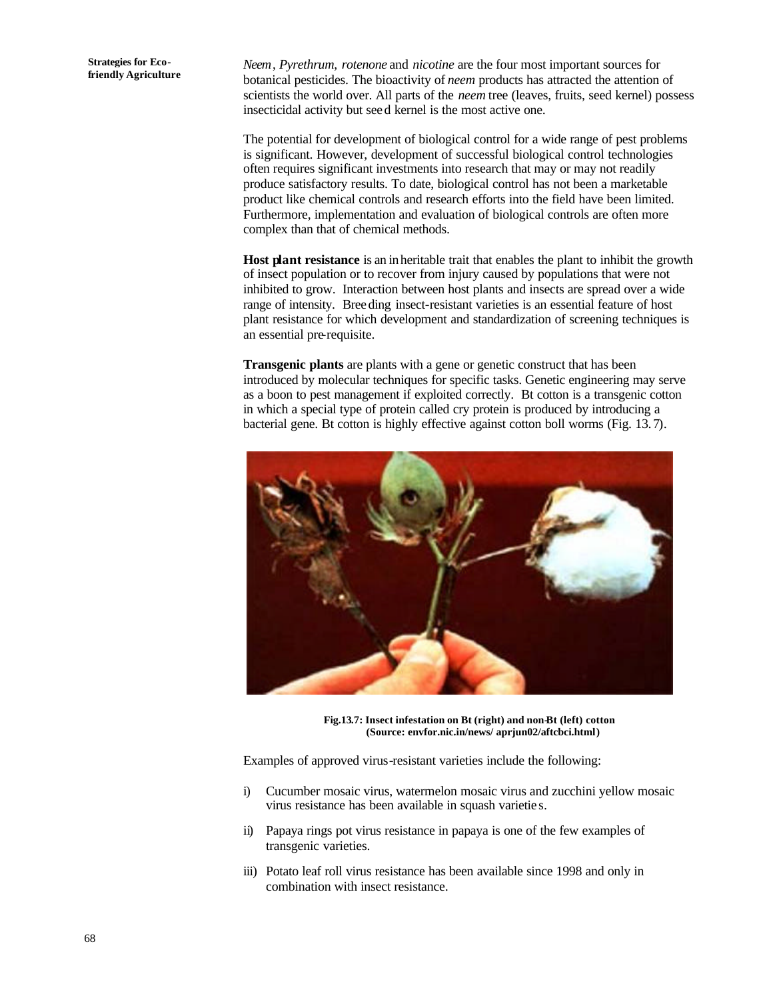*Neem*, *Pyrethrum*, *rotenone* and *nicotine* are the four most important sources for botanical pesticides. The bioactivity of *neem* products has attracted the attention of scientists the world over. All parts of the *neem* tree (leaves, fruits, seed kernel) possess insecticidal activity but see d kernel is the most active one.

The potential for development of biological control for a wide range of pest problems is significant. However, development of successful biological control technologies often requires significant investments into research that may or may not readily produce satisfactory results. To date, biological control has not been a marketable product like chemical controls and research efforts into the field have been limited. Furthermore, implementation and evaluation of biological controls are often more complex than that of chemical methods.

**Host plant resistance** is an inheritable trait that enables the plant to inhibit the growth of insect population or to recover from injury caused by populations that were not inhibited to grow. Interaction between host plants and insects are spread over a wide range of intensity. Breeding insect-resistant varieties is an essential feature of host plant resistance for which development and standardization of screening techniques is an essential pre-requisite.

**Transgenic plants** are plants with a gene or genetic construct that has been introduced by molecular techniques for specific tasks. Genetic engineering may serve as a boon to pest management if exploited correctly. Bt cotton is a transgenic cotton in which a special type of protein called cry protein is produced by introducing a bacterial gene. Bt cotton is highly effective against cotton boll worms (Fig. 13.7).



**Fig.13.7: Insect infestation on Bt (right) and non-Bt (left) cotton (Source: envfor.nic.in/news/ aprjun02/aftcbci.html)**

Examples of approved virus-resistant varieties include the following:

- i) Cucumber mosaic virus, watermelon mosaic virus and zucchini yellow mosaic virus resistance has been available in squash varietie s.
- ii) Papaya rings pot virus resistance in papaya is one of the few examples of transgenic varieties.
- iii) Potato leaf roll virus resistance has been available since 1998 and only in combination with insect resistance.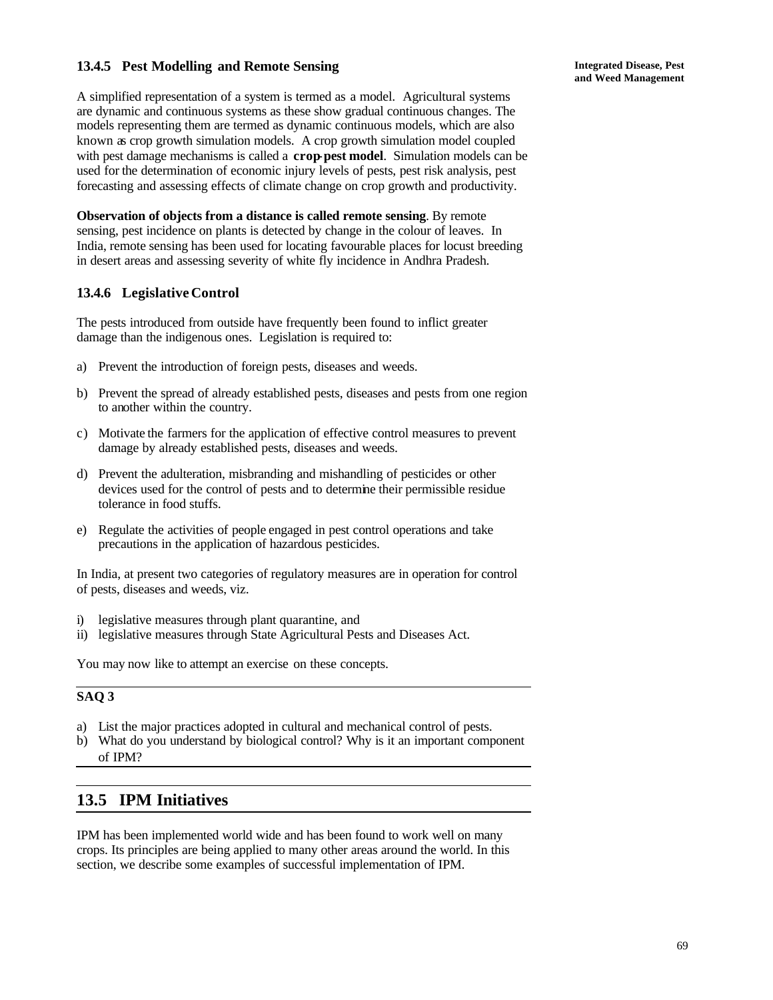## **13.4.5 Pest Modelling and Remote Sensing**

A simplified representation of a system is termed as a model. Agricultural systems are dynamic and continuous systems as these show gradual continuous changes. The models representing them are termed as dynamic continuous models, which are also known as crop growth simulation models. A crop growth simulation model coupled with pest damage mechanisms is called a **crop-pest model**. Simulation models can be used for the determination of economic injury levels of pests, pest risk analysis, pest forecasting and assessing effects of climate change on crop growth and productivity.

**Observation of objects from a distance is called remote sensing**. By remote sensing, pest incidence on plants is detected by change in the colour of leaves. In India, remote sensing has been used for locating favourable places for locust breeding in desert areas and assessing severity of white fly incidence in Andhra Pradesh.

## **13.4.6 Legislative Control**

The pests introduced from outside have frequently been found to inflict greater damage than the indigenous ones. Legislation is required to:

- a) Prevent the introduction of foreign pests, diseases and weeds.
- b) Prevent the spread of already established pests, diseases and pests from one region to another within the country.
- c) Motivate the farmers for the application of effective control measures to prevent damage by already established pests, diseases and weeds.
- d) Prevent the adulteration, misbranding and mishandling of pesticides or other devices used for the control of pests and to determine their permissible residue tolerance in food stuffs.
- e) Regulate the activities of people engaged in pest control operations and take precautions in the application of hazardous pesticides.

In India, at present two categories of regulatory measures are in operation for control of pests, diseases and weeds, viz.

- i) legislative measures through plant quarantine, and
- ii) legislative measures through State Agricultural Pests and Diseases Act.

You may now like to attempt an exercise on these concepts.

# **SAQ 3**

- a) List the major practices adopted in cultural and mechanical control of pests.
- b) What do you understand by biological control? Why is it an important component of IPM?

# **13.5 IPM Initiatives**

IPM has been implemented world wide and has been found to work well on many crops. Its principles are being applied to many other areas around the world. In this section, we describe some examples of successful implementation of IPM.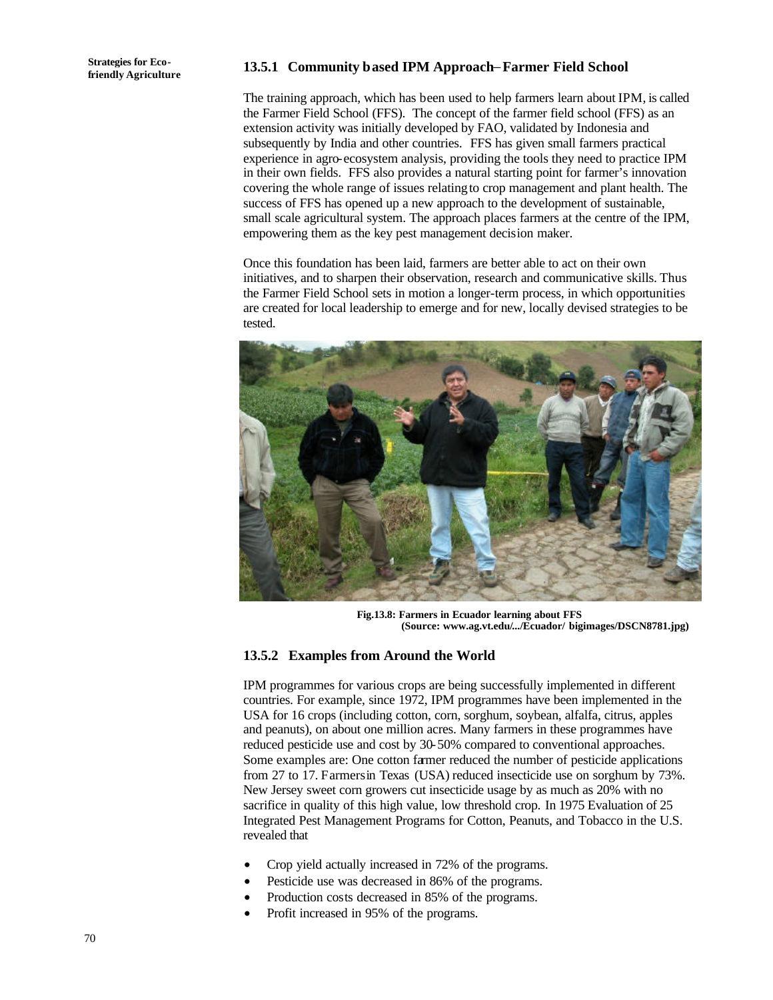# **friendly Agriculture 13.5.1 Community based IPM Approach**−**Farmer Field School**

The training approach, which has been used to help farmers learn about IPM, is called the Farmer Field School (FFS). The concept of the farmer field school (FFS) as an extension activity was initially developed by FAO, validated by Indonesia and subsequently by India and other countries. FFS has given small farmers practical experience in agro-ecosystem analysis, providing the tools they need to practice IPM in their own fields. FFS also provides a natural starting point for farmer's innovation covering the whole range of issues relating to crop management and plant health. The success of FFS has opened up a new approach to the development of sustainable, small scale agricultural system. The approach places farmers at the centre of the IPM, empowering them as the key pest management decision maker.

Once this foundation has been laid, farmers are better able to act on their own initiatives, and to sharpen their observation, research and communicative skills. Thus the Farmer Field School sets in motion a longer-term process, in which opportunities are created for local leadership to emerge and for new, locally devised strategies to be tested.



**Fig.13.8: Farmers in Ecuador learning about FFS (Source: www.ag.vt.edu/.../Ecuador/ bigimages/DSCN8781.jpg)**

#### **13.5.2 Examples from Around the World**

IPM programmes for various crops are being successfully implemented in different countries. For example, since 1972, IPM programmes have been implemented in the USA for 16 crops (including cotton, corn, sorghum, soybean, alfalfa, citrus, apples and peanuts), on about one million acres. Many farmers in these programmes have reduced pesticide use and cost by 30-50% compared to conventional approaches. Some examples are: One cotton farmer reduced the number of pesticide applications from 27 to 17. Farmers in Texas (USA) reduced insecticide use on sorghum by 73%. New Jersey sweet corn growers cut insecticide usage by as much as 20% with no sacrifice in quality of this high value, low threshold crop. In 1975 Evaluation of 25 Integrated Pest Management Programs for Cotton, Peanuts, and Tobacco in the U.S. revealed that

- Crop yield actually increased in 72% of the programs.
- Pesticide use was decreased in 86% of the programs.
- Production costs decreased in 85% of the programs.
- Profit increased in 95% of the programs.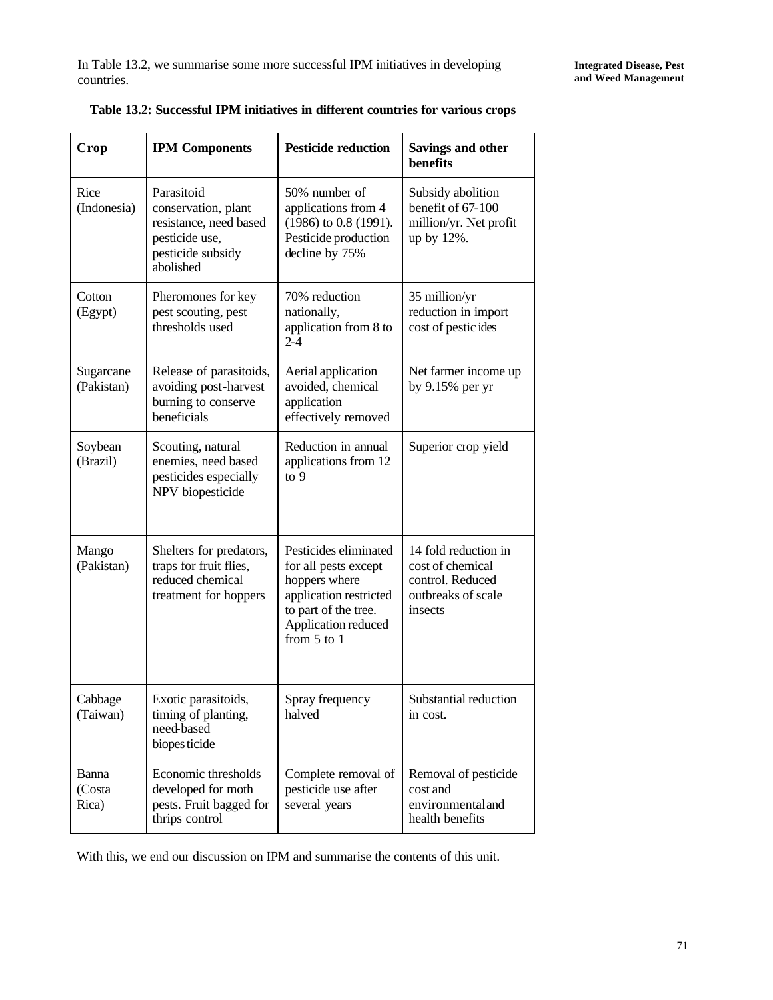| Crop                     | <b>IPM Components</b>                                                                                           | <b>Pesticide reduction</b>                                                                                                                                 | Savings and other<br>benefits                                                                 |
|--------------------------|-----------------------------------------------------------------------------------------------------------------|------------------------------------------------------------------------------------------------------------------------------------------------------------|-----------------------------------------------------------------------------------------------|
| Rice<br>(Indonesia)      | Parasitoid<br>conservation, plant<br>resistance, need based<br>pesticide use,<br>pesticide subsidy<br>abolished | 50% number of<br>applications from 4<br>(1986) to 0.8 (1991).<br>Pesticide production<br>decline by 75%                                                    | Subsidy abolition<br>benefit of 67-100<br>million/yr. Net profit<br>up by 12%.                |
| Cotton<br>(Egypt)        | Pheromones for key<br>pest scouting, pest<br>thresholds used                                                    | 70% reduction<br>nationally,<br>application from 8 to<br>$2 - 4$                                                                                           | 35 million/yr<br>reduction in import<br>cost of pestic ides                                   |
| Sugarcane<br>(Pakistan)  | Release of parasitoids,<br>avoiding post-harvest<br>burning to conserve<br>beneficials                          | Aerial application<br>avoided, chemical<br>application<br>effectively removed                                                                              | Net farmer income up<br>by $9.15\%$ per yr                                                    |
| Soybean<br>(Brazil)      | Scouting, natural<br>enemies, need based<br>pesticides especially<br>NPV biopesticide                           | Reduction in annual<br>applications from 12<br>$\frac{10}{9}$                                                                                              | Superior crop yield                                                                           |
| Mango<br>(Pakistan)      | Shelters for predators,<br>traps for fruit flies,<br>reduced chemical<br>treatment for hoppers                  | Pesticides eliminated<br>for all pests except<br>hoppers where<br>application restricted<br>to part of the tree.<br>Application reduced<br>from $5$ to $1$ | 14 fold reduction in<br>cost of chemical<br>control. Reduced<br>outbreaks of scale<br>insects |
| Cabbage<br>(Taiwan)      | Exotic parasitoids,<br>timing of planting,<br>need-based<br>biopes ticide                                       | Spray frequency<br>halved                                                                                                                                  | Substantial reduction<br>in cost.                                                             |
| Banna<br>(Costa<br>Rica) | Economic thresholds<br>developed for moth<br>pests. Fruit bagged for<br>thrips control                          | Complete removal of<br>pesticide use after<br>several years                                                                                                | Removal of pesticide<br>cost and<br>environmental and<br>health benefits                      |

| Table 13.2: Successful IPM initiatives in different countries for various crops |  |
|---------------------------------------------------------------------------------|--|
|---------------------------------------------------------------------------------|--|

With this, we end our discussion on IPM and summarise the contents of this unit.